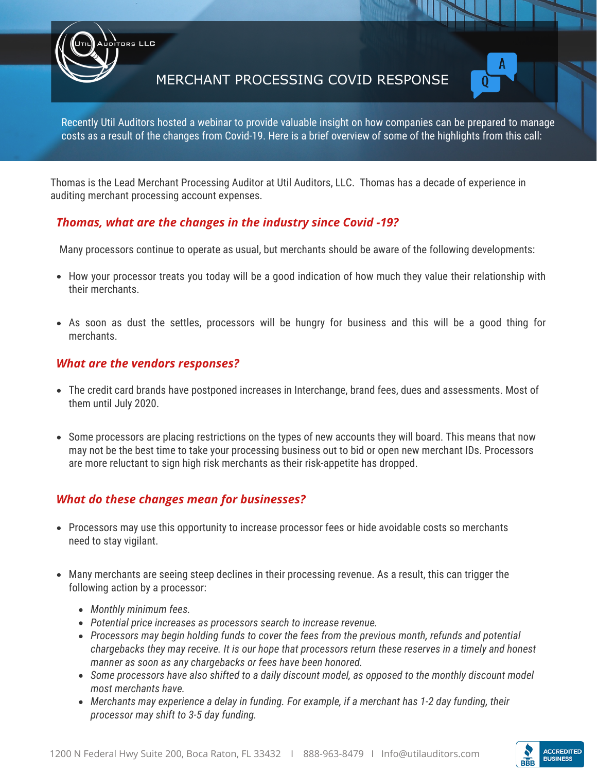MERCHANT PROCESSING COVID RESPONSE



Recently Util Auditors hosted a webinar to provide valuable insight on how companies can be prepared to manage costs as a result of the changes from Covid-19. Here is a brief overview of some of the highlights from this call:

Thomas is the Lead Merchant Processing Auditor at Util Auditors, LLC. Thomas has a decade of experience in auditing merchant processing account expenses.

# *Thomas, what are the changes in the industry since Covid -19?*

Many processors continue to operate as usual, but merchants should be aware of the following developments:

- How your processor treats you today will be a good indication of how much they value their relationship with their merchants.
- As soon as dust the settles, processors will be hungry for business and this will be a good thing for merchants.

### *What are the vendors responses?*

ors LLC

- The credit card brands have postponed increases in Interchange, brand fees, dues and assessments. Most of them until July 2020.
- Some processors are placing restrictions on the types of new accounts they will board. This means that now may not be the best time to take your processing business out to bid or open new merchant IDs. Processors are more reluctant to sign high risk merchants as their risk-appetite has dropped.

# *What do these changes mean for businesses?*

- Processors may use this opportunity to increase processor fees or hide avoidable costs so merchants need to stay vigilant.
- Many merchants are seeing steep declines in their processing revenue. As a result, this can trigger the following action by a processor:
	- *Monthly minimum fees.*
	- *Potential price increases as processors search to increase revenue.*
	- *Processors may begin holding funds to cover the fees from the previous month, refunds and potential chargebacks they may receive. It is our hope that processors return these reserves in a timely and honest manner as soon as any chargebacks or fees have been honored.*
	- *Some processors have also shifted to a daily discount model, as opposed to the monthly discount model most merchants have.*
	- *Merchants may experience a delay in funding. For example, if a merchant has 1-2 day funding, their processor may shift to 3-5 day funding.*